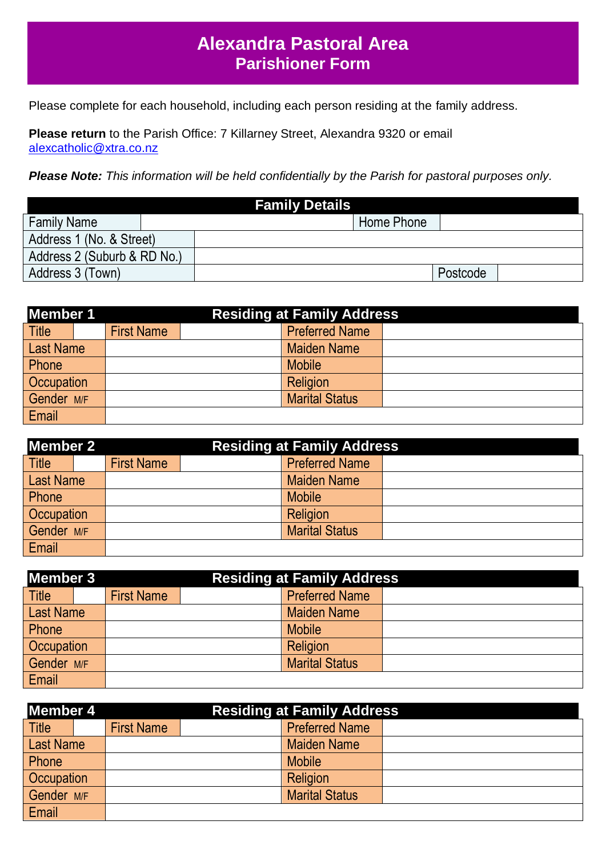## **Alexandra Pastoral Area Parishioner Form**

Please complete for each household, including each person residing at the family address.

**Please return** to the Parish Office: 7 Killarney Street, Alexandra 9320 or email [alexcatholic@xtra.co.nz](mailto:alexcatholic@xtra.co.nz)

*Please Note: This information will be held confidentially by the Parish for pastoral purposes only.*

|                             | <b>Family Details</b> |          |  |
|-----------------------------|-----------------------|----------|--|
| <b>Family Name</b>          | Home Phone            |          |  |
| Address 1 (No. & Street)    |                       |          |  |
| Address 2 (Suburb & RD No.) |                       |          |  |
| Address 3 (Town)            |                       | Postcode |  |

| <b>Member 1</b>   | <b>Residing at Family Address</b> |  |                       |  |  |
|-------------------|-----------------------------------|--|-----------------------|--|--|
| <b>Title</b>      | <b>First Name</b>                 |  | <b>Preferred Name</b> |  |  |
| <b>Last Name</b>  |                                   |  | <b>Maiden Name</b>    |  |  |
| Phone             |                                   |  | <b>Mobile</b>         |  |  |
| <b>Occupation</b> |                                   |  | Religion              |  |  |
| Gender M/F        |                                   |  | <b>Marital Status</b> |  |  |
| Email             |                                   |  |                       |  |  |

| Member 2          |  | <b>Residing at Family Address</b> |  |                       |  |
|-------------------|--|-----------------------------------|--|-----------------------|--|
| <b>Title</b>      |  | <b>First Name</b>                 |  | <b>Preferred Name</b> |  |
| <b>Last Name</b>  |  |                                   |  | <b>Maiden Name</b>    |  |
| Phone             |  |                                   |  | <b>Mobile</b>         |  |
| <b>Occupation</b> |  |                                   |  | Religion              |  |
| Gender M/F        |  |                                   |  | <b>Marital Status</b> |  |
| Email             |  |                                   |  |                       |  |

| Member 3         |                   | <b>Residing at Family Address</b> |                       |  |
|------------------|-------------------|-----------------------------------|-----------------------|--|
| <b>Title</b>     | <b>First Name</b> |                                   | <b>Preferred Name</b> |  |
| <b>Last Name</b> |                   |                                   | <b>Maiden Name</b>    |  |
| Phone            |                   |                                   | <b>Mobile</b>         |  |
| Occupation       |                   |                                   | Religion              |  |
| Gender M/F       |                   |                                   | <b>Marital Status</b> |  |
| Email            |                   |                                   |                       |  |

| <b>Member 4</b>  |  | <b>Residing at Family Address</b> |  |                       |  |
|------------------|--|-----------------------------------|--|-----------------------|--|
| <b>Title</b>     |  | <b>First Name</b>                 |  | <b>Preferred Name</b> |  |
| <b>Last Name</b> |  |                                   |  | <b>Maiden Name</b>    |  |
| Phone            |  |                                   |  | <b>Mobile</b>         |  |
| Occupation       |  |                                   |  | Religion              |  |
| Gender M/F       |  |                                   |  | <b>Marital Status</b> |  |
| Email            |  |                                   |  |                       |  |